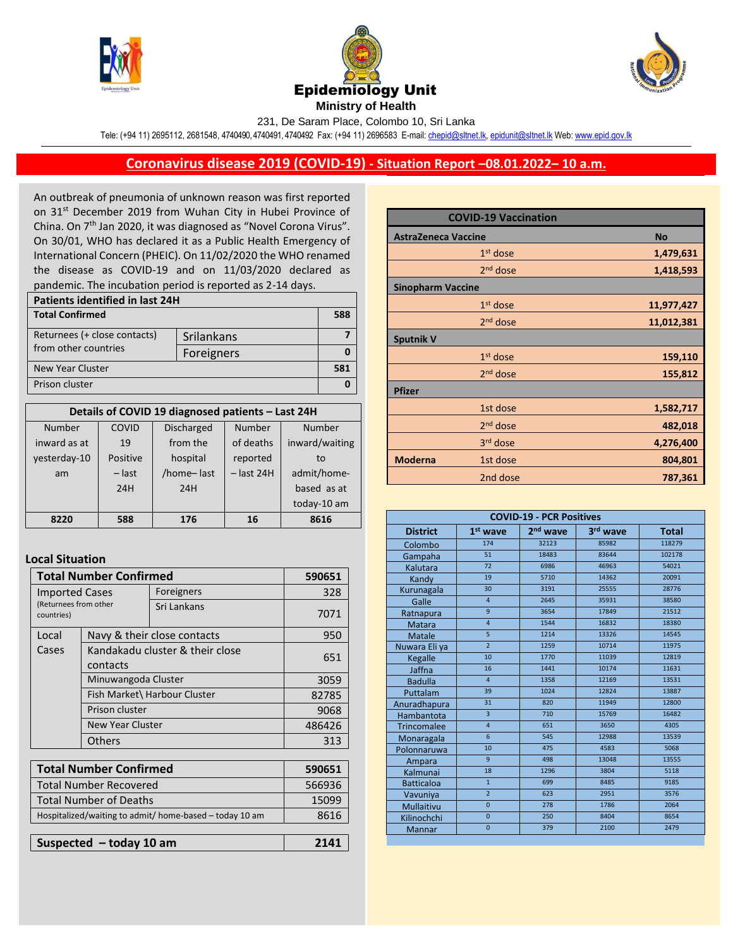





231, De Saram Place, Colombo 10, Sri Lanka

Tele: (+94 11) 2695112, 2681548, 4740490, 4740491, 4740492 Fax: (+94 11) 2696583 E-mail[: chepid@sltnet.lk,](mailto:chepi@sltnet.lk) [epidunit@sltnet.lk](mailto:epidunit@sltnet.lk) Web[: www.epid.gov.lk](http://www.epid.gov.lk/)

## **Coronavirus disease 2019 (COVID-19) - Situation Report –08.01.2022– 10 a.m.**

An outbreak of pneumonia of unknown reason was first reported on 31<sup>st</sup> December 2019 from Wuhan City in Hubei Province of China. On 7<sup>th</sup> Jan 2020, it was diagnosed as "Novel Corona Virus". On 30/01, WHO has declared it as a Public Health Emergency of International Concern (PHEIC). On 11/02/2020 the WHO renamed the disease as COVID-19 and on 11/03/2020 declared as pandemic. The incubation period is reported as 2-14 days.

| Patients identified in last 24H |            |     |  |
|---------------------------------|------------|-----|--|
| <b>Total Confirmed</b>          |            | 588 |  |
| Returnees (+ close contacts)    | Srilankans |     |  |
| from other countries            | Foreigners |     |  |
| New Year Cluster                |            | 581 |  |
| Prison cluster                  |            |     |  |

| Details of COVID 19 diagnosed patients - Last 24H |          |                   |              |                |
|---------------------------------------------------|----------|-------------------|--------------|----------------|
| <b>Number</b>                                     | COVID    | <b>Discharged</b> | Number       | Number         |
| inward as at                                      | 19       | from the          | of deaths    | inward/waiting |
| yesterday-10                                      | Positive | hospital          | reported     | to             |
| am                                                | $-$ last | /home-last        | $-$ last 24H | admit/home-    |
|                                                   | 24H      | 24H               |              | based as at    |
|                                                   |          |                   |              | today-10 am    |
| 8220                                              | 588      | 176               | 16           | 8616           |

## **Local Situation**

| <b>Total Number Confirmed</b>                                |                                             |                             | 590651        |
|--------------------------------------------------------------|---------------------------------------------|-----------------------------|---------------|
| <b>Imported Cases</b><br>(Returnees from other<br>countries) |                                             | Foreigners                  | 328           |
|                                                              |                                             | Sri Lankans                 | 7071          |
| Local                                                        |                                             | Navy & their close contacts | 950           |
| Cases                                                        | Kandakadu cluster & their close<br>contacts |                             | 651           |
|                                                              |                                             |                             |               |
|                                                              | Minuwangoda Cluster                         |                             | 3059          |
|                                                              | Fish Market\ Harbour Cluster                |                             | 82785         |
|                                                              | Prison cluster                              |                             | 9068          |
|                                                              | <b>New Year Cluster</b>                     |                             | 486426        |
|                                                              | <b>Others</b>                               |                             | 313           |
|                                                              |                                             |                             |               |
|                                                              | Total Numher Confirmed                      |                             | <b>500651</b> |

| <b>Total Number Confirmed</b>                           | 590651 |
|---------------------------------------------------------|--------|
| <b>Total Number Recovered</b>                           | 566936 |
| <b>Total Number of Deaths</b>                           | 15099  |
| Hospitalized/waiting to admit/ home-based - today 10 am | 8616   |
|                                                         |        |
| Suspected $-$ today 10 am                               | 2141   |

|                            | <b>COVID-19 Vaccination</b> |            |
|----------------------------|-----------------------------|------------|
| <b>AstraZeneca Vaccine</b> |                             | <b>No</b>  |
|                            | $1st$ dose                  | 1,479,631  |
|                            | $2nd$ dose                  | 1,418,593  |
| <b>Sinopharm Vaccine</b>   |                             |            |
|                            | $1st$ dose                  | 11,977,427 |
|                            | $2nd$ dose                  | 11,012,381 |
| <b>Sputnik V</b>           |                             |            |
|                            | $1st$ dose                  | 159,110    |
|                            | $2nd$ dose                  | 155,812    |
| <b>Pfizer</b>              |                             |            |
|                            | 1st dose                    | 1,582,717  |
|                            | 2 <sup>nd</sup> dose        | 482,018    |
|                            | 3rd dose                    | 4,276,400  |
| <b>Moderna</b>             | 1st dose                    | 804,801    |
|                            | 2nd dose                    | 787,361    |

| <b>COVID-19 - PCR Positives</b> |                |                      |          |              |
|---------------------------------|----------------|----------------------|----------|--------------|
| <b>District</b>                 | $1st$ wave     | 2 <sup>nd</sup> wave | 3rd wave | <b>Total</b> |
| Colombo                         | 174            | 32123                | 85982    | 118279       |
| Gampaha                         | 51             | 18483                | 83644    | 102178       |
| Kalutara                        | 72             | 6986                 | 46963    | 54021        |
| Kandy                           | 19             | 5710                 | 14362    | 20091        |
| Kurunagala                      | 30             | 3191                 | 25555    | 28776        |
| Galle                           | $\overline{4}$ | 2645                 | 35931    | 38580        |
| Ratnapura                       | 9              | 3654                 | 17849    | 21512        |
| <b>Matara</b>                   | $\overline{4}$ | 1544                 | 16832    | 18380        |
| Matale                          | $\overline{5}$ | 1214                 | 13326    | 14545        |
| Nuwara Eli ya                   | $\overline{2}$ | 1259                 | 10714    | 11975        |
| Kegalle                         | 10             | 1770                 | 11039    | 12819        |
| Jaffna                          | 16             | 1441                 | 10174    | 11631        |
| <b>Badulla</b>                  | $\overline{4}$ | 1358                 | 12169    | 13531        |
| Puttalam                        | 39             | 1024                 | 12824    | 13887        |
| Anuradhapura                    | 31             | 820                  | 11949    | 12800        |
| Hambantota                      | $\overline{3}$ | 710                  | 15769    | 16482        |
| <b>Trincomalee</b>              | $\overline{4}$ | 651                  | 3650     | 4305         |
| Monaragala                      | 6              | 545                  | 12988    | 13539        |
| Polonnaruwa                     | 10             | 475                  | 4583     | 5068         |
| Ampara                          | 9              | 498                  | 13048    | 13555        |
| Kalmunai                        | 18             | 1296                 | 3804     | 5118         |
| <b>Batticaloa</b>               | $\overline{1}$ | 699                  | 8485     | 9185         |
| Vavuniya                        | $\overline{2}$ | 623                  | 2951     | 3576         |
| Mullaitivu                      | $\overline{0}$ | 278                  | 1786     | 2064         |
| Kilinochchi                     | $\mathbf{0}$   | 250                  | 8404     | 8654         |
| <b>Mannar</b>                   | $\overline{0}$ | 379                  | 2100     | 2479         |